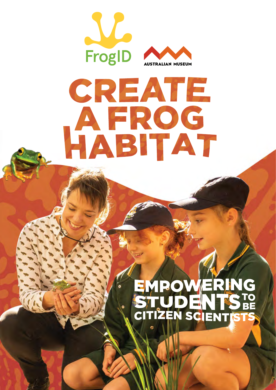

# CREATE HABITAT

## WERING D( STUDENTS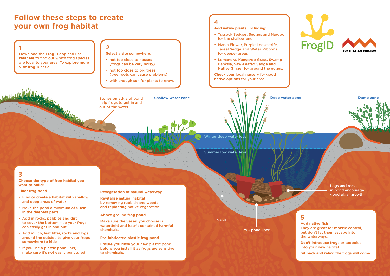## **Follow these steps to create your own frog habitat**

## **1**

Download the **FrogID app** and use **Near Me** to find out which frog species are local to your area. To explore more visit **frogID.net.au**

## **4**

**Add native plants, including:**

- Tussock Sedges, Sedges and Nardoo for the shallow end
- Marsh Flower, Purple Loosestrife, Tassel Sedge and Water Ribbons for deeper areas
- Lomandra, Kangaroo Grass, Swamp Banksia, Saw-Leafed Sedge and Native Ginger for around the edges.

**Stones on edge of pond Shallow water zone by the state of the state of pond <b>Shallow water zone Damp zone** help frogs to get in and out of the water

Check your local nursery for good native options for your area.

### **5**

**Add native fish** They are great for mozzie control, but don't let them escape into the waterways.

**Don't** introduce frogs or tadpoles into your new habitat.

**Sit back and relax;** the frogs will come.

Winter deep water level

Summer low water level

PVC pond liner



Logs and rocks in pond encourage good algal growth

Sand

#### **2**

**Select a site somewhere:**

- not too close to houses (frogs can be very noisy)
- not too close to big trees (tree roots can cause problems)
- with enough sun for plants to grow.

## **3**

#### **Choose the type of frog habitat you want to build:**

#### **Liner frog pond**

- Find or create a habitat with shallow and deep areas of water
- Make the pond a minimum of 50cm in the deepest parts
- Add in rocks, pebbles and dirt to cover the bottom – so your frogs can easily get in and out
- Add mulch, leaf litter, rocks and logs around the outside to give your frogs somewhere to hide
- If you use a plastic pond liner, make sure it's not easily punctured.

#### **Revegetation of natural waterway**

Revitalise natural habitat by removing rubbish and weeds and replanting native vegetation.

#### **Above ground frog pond**

Make sure the vessel you choose is watertight and hasn't contained harmful chemicals.

#### **Pre-fabricated plastic frog pond**

Ensure you rinse your new plastic pond before you install it as frogs are sensitive to chemicals.